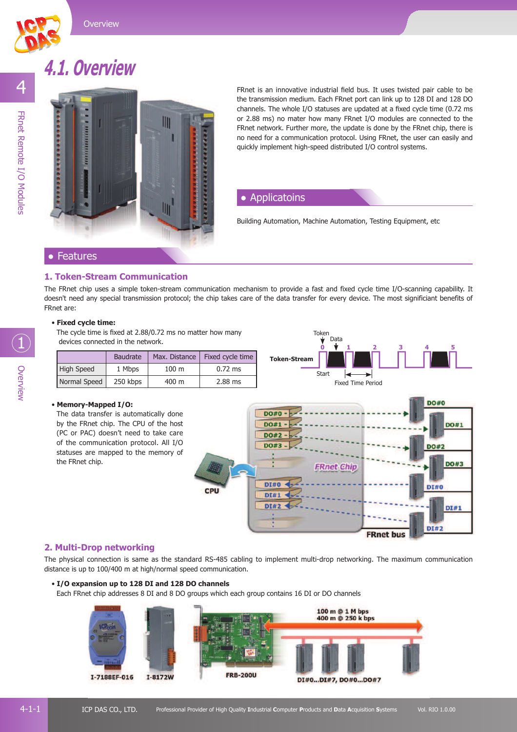

## **4.1. Overview**



FRnet is an innovative industrial field bus. It uses twisted pair cable to be the transmission medium. Each FRnet port can link up to 128 DI and 128 DO channels. The whole I/O statuses are updated at a fixed cycle time (0.72 ms or 2.88 ms) no mater how many FRnet I/O modules are connected to the FRnet network. Further more, the update is done by the FRnet chip, there is no need for a communication protocol. Using FRnet, the user can easily and quickly implement high-speed distributed I/O control systems.

#### **Applicatoins**

Building Automation, Machine Automation, Testing Equipment, etc

#### **Features**

#### **1. Token-Stream Communication**

The FRnet chip uses a simple token-stream communication mechanism to provide a fast and fixed cycle time I/O-scanning capability. It doesn't need any special transmission protocol; the chip takes care of the data transfer for every device. The most significiant benefits of FRnet are:

#### • **Fixed cycle time:**

The cycle time is fixed at 2.88/0.72 ms no matter how many devices connected in the network.

|                   | Baudrate | Max. Distance    | Fixed cycle time |
|-------------------|----------|------------------|------------------|
| <b>High Speed</b> | 1 Mbps   | 100 <sub>m</sub> | $0.72$ ms        |
| Normal Speed      | 250 kbps | 400 m            | 2.88 ms          |



#### • **Memory-Mapped I/O:**

The data transfer is automatically done by the FRnet chip. The CPU of the host (PC or PAC) doesn't need to take care of the communication protocol. All I/O statuses are mapped to the memory of the FRnet chip.



#### **2. Multi-Drop networking**

The physical connection is same as the standard RS-485 cabling to implement multi-drop networking. The maximum communication distance is up to 100/400 m at high/normal speed communication.

#### • **I/O expansion up to 128 DI and 128 DO channels**

Each FRnet chip addresses 8 DI and 8 DO groups which each group contains 16 DI or DO channels



1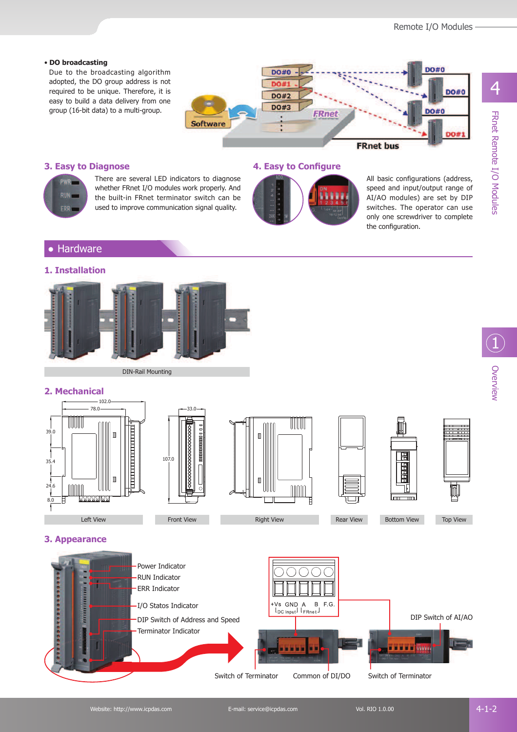#### • **DO broadcasting**

Due to the broadcasting algorithm adopted, the DO group address is not required to be unique. Therefore, it is easy to build a data delivery from one group (16-bit data) to a multi-group.



#### **3. Easy to Diagnose**



There are several LED indicators to diagnose whether FRnet I/O modules work properly. And the built-in FRnet terminator switch can be used to improve communication signal quality.

#### **4. Easy to Configure**



All basic configurations (address, speed and input/output range of AI/AO modules) are set by DIP switches. The operator can use only one screwdriver to complete the configuration.

#### **Hardware**

#### **1. Installation**



DIN-Rail Mounting

107.0

33.0

#### **2. Mechanical**







Front View Right View Right View Rear View







#### **3. Appearance**



4

Overview 1<br>1<br>Overview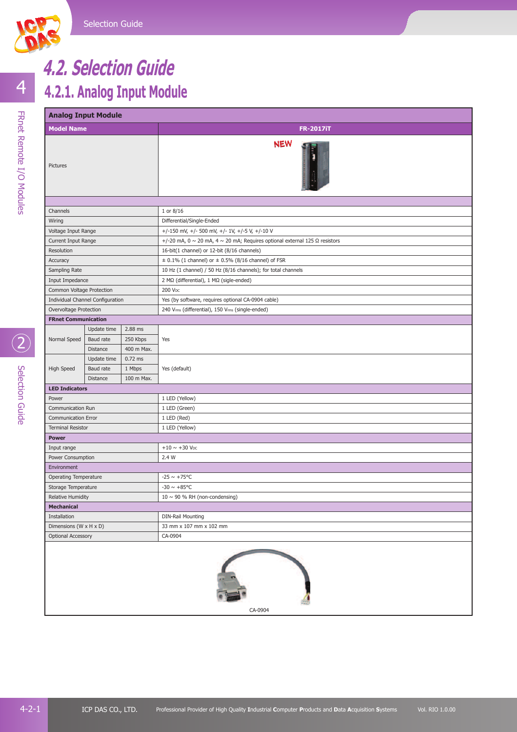

## **4.2.1. Analog Input Module 4.2. Selection Guide**

# **Analog Input Module Model Name FR-2017iT** Pictures

| Pictures                     |                                  |            |                                                                                             |  |  |  |  |
|------------------------------|----------------------------------|------------|---------------------------------------------------------------------------------------------|--|--|--|--|
|                              |                                  |            |                                                                                             |  |  |  |  |
| Channels                     |                                  |            | 1 or 8/16                                                                                   |  |  |  |  |
| Wiring                       |                                  |            | Differential/Single-Ended                                                                   |  |  |  |  |
| Voltage Input Range          |                                  |            | +/-150 mV, +/- 500 mV, +/- 1V, +/-5 V, +/-10 V                                              |  |  |  |  |
| Current Input Range          |                                  |            | +/-20 mA, 0 $\sim$ 20 mA, 4 $\sim$ 20 mA; Requires optional external 125 $\Omega$ resistors |  |  |  |  |
| Resolution                   |                                  |            | 16-bit(1 channel) or 12-bit (8/16 channels)                                                 |  |  |  |  |
| Accuracy                     |                                  |            | $\pm$ 0.1% (1 channel) or $\pm$ 0.5% (8/16 channel) of FSR                                  |  |  |  |  |
| Sampling Rate                |                                  |            | 10 Hz (1 channel) / 50 Hz (8/16 channels); for total channels                               |  |  |  |  |
| Input Impedance              |                                  |            | 2 MΩ (differential), 1 MΩ (sigle-ended)                                                     |  |  |  |  |
| Common Voltage Protection    |                                  |            | 200 V <sub>DC</sub>                                                                         |  |  |  |  |
|                              | Individual Channel Configuration |            | Yes (by software, requires optional CA-0904 cable)                                          |  |  |  |  |
| Overvoltage Protection       |                                  |            | 240 Vrms (differential), 150 Vrms (single-ended)                                            |  |  |  |  |
| <b>FRnet Communication</b>   |                                  |            |                                                                                             |  |  |  |  |
|                              | Update time                      | 2.88 ms    |                                                                                             |  |  |  |  |
| Normal Speed                 | Baud rate                        | 250 Kbps   | Yes                                                                                         |  |  |  |  |
|                              | Distance                         | 400 m Max. |                                                                                             |  |  |  |  |
|                              | Update time                      | $0.72$ ms  |                                                                                             |  |  |  |  |
| High Speed                   | Baud rate                        | 1 Mbps     | Yes (default)                                                                               |  |  |  |  |
|                              | Distance                         | 100 m Max. |                                                                                             |  |  |  |  |
| <b>LED Indicators</b>        |                                  |            |                                                                                             |  |  |  |  |
| Power                        |                                  |            | 1 LED (Yellow)                                                                              |  |  |  |  |
| Communication Run            |                                  |            | 1 LED (Green)                                                                               |  |  |  |  |
| <b>Communication Error</b>   |                                  |            | 1 LED (Red)                                                                                 |  |  |  |  |
| <b>Terminal Resistor</b>     |                                  |            | 1 LED (Yellow)                                                                              |  |  |  |  |
| <b>Power</b>                 |                                  |            |                                                                                             |  |  |  |  |
| Input range                  |                                  |            | $+10 \sim +30$ V <sub>DC</sub>                                                              |  |  |  |  |
| Power Consumption            |                                  |            | 2.4 W                                                                                       |  |  |  |  |
| Environment                  |                                  |            |                                                                                             |  |  |  |  |
| <b>Operating Temperature</b> |                                  |            | $-25 \sim +75^{\circ}C$                                                                     |  |  |  |  |
| Storage Temperature          |                                  |            | -30 $\sim$ +85°C                                                                            |  |  |  |  |
| <b>Relative Humidity</b>     |                                  |            | $10 \sim 90$ % RH (non-condensing)                                                          |  |  |  |  |
| <b>Mechanical</b>            |                                  |            |                                                                                             |  |  |  |  |
| Installation                 |                                  |            | <b>DIN-Rail Mounting</b>                                                                    |  |  |  |  |
| Dimensions (W x H x D)       |                                  |            | 33 mm x 107 mm x 102 mm                                                                     |  |  |  |  |
| <b>Optional Accessory</b>    |                                  |            | CA-0904                                                                                     |  |  |  |  |
|                              |                                  |            |                                                                                             |  |  |  |  |

**NEW** 

1日 -

CA-0904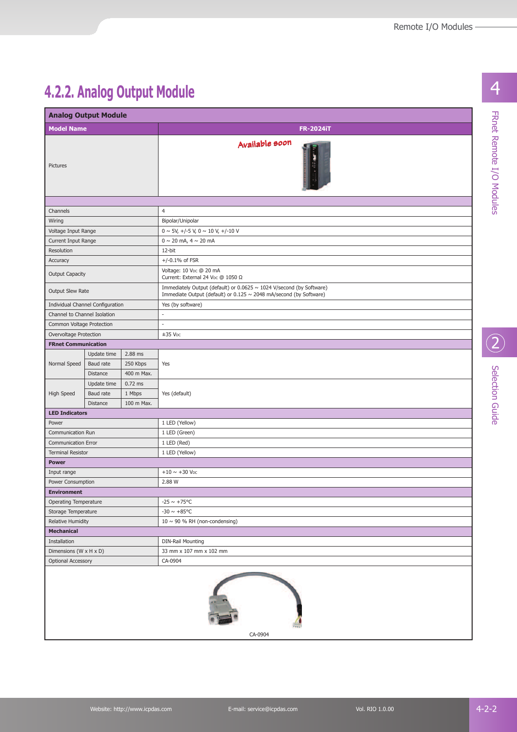FRnet Remote I/O Modules

20<br>Selection Guide

4

### **4.2.2. Analog Output Module**

| <b>Model Name</b><br>Pictures    |             |            |                                                                                                                                            |  |  |  |
|----------------------------------|-------------|------------|--------------------------------------------------------------------------------------------------------------------------------------------|--|--|--|
|                                  |             |            | <b>FR-2024iT</b>                                                                                                                           |  |  |  |
|                                  |             |            | Available soon                                                                                                                             |  |  |  |
|                                  |             |            |                                                                                                                                            |  |  |  |
| Channels                         |             |            | $\overline{4}$                                                                                                                             |  |  |  |
| Wiring                           |             |            | Bipolar/Unipolar                                                                                                                           |  |  |  |
| Voltage Input Range              |             |            | $0 \sim 5V$ , +/-5 V, 0 $\sim 10 V$ , +/-10 V                                                                                              |  |  |  |
| Current Input Range              |             |            | $0 \sim 20$ mA, $4 \sim 20$ mA                                                                                                             |  |  |  |
| Resolution                       |             |            | 12-bit                                                                                                                                     |  |  |  |
| Accuracy                         |             |            | $+/-0.1%$ of FSR                                                                                                                           |  |  |  |
| <b>Output Capacity</b>           |             |            | Voltage: 10 V <sub>DC</sub> @ 20 mA<br>Current: External 24 V <sub>DC</sub> @ 1050 Ω                                                       |  |  |  |
| Output Slew Rate                 |             |            | Immediately Output (default) or 0.0625 ~ 1024 V/second (by Software)<br>Immediate Output (default) or 0.125 ~ 2048 mA/second (by Software) |  |  |  |
| Individual Channel Configuration |             |            | Yes (by software)                                                                                                                          |  |  |  |
| Channel to Channel Isolation     |             |            | ×.                                                                                                                                         |  |  |  |
| Common Voltage Protection        |             |            | L.                                                                                                                                         |  |  |  |
| Overvoltage Protection           |             |            | $±35$ Vpc                                                                                                                                  |  |  |  |
| <b>FRnet Communication</b>       |             |            |                                                                                                                                            |  |  |  |
|                                  | Update time | 2.88 ms    |                                                                                                                                            |  |  |  |
| Normal Speed<br>Baud rate        |             | 250 Kbps   | Yes                                                                                                                                        |  |  |  |
| Distance                         |             | 400 m Max. |                                                                                                                                            |  |  |  |
|                                  | Update time | $0.72$ ms  |                                                                                                                                            |  |  |  |
| <b>High Speed</b><br>Baud rate   |             | 1 Mbps     | Yes (default)                                                                                                                              |  |  |  |
| Distance                         |             | 100 m Max. |                                                                                                                                            |  |  |  |
| <b>LED Indicators</b>            |             |            |                                                                                                                                            |  |  |  |
| Power                            |             |            | 1 LED (Yellow)                                                                                                                             |  |  |  |
| Communication Run                |             |            | 1 LED (Green)                                                                                                                              |  |  |  |
| <b>Communication Error</b>       |             |            | 1 LED (Red)                                                                                                                                |  |  |  |
| <b>Terminal Resistor</b>         |             |            | 1 LED (Yellow)                                                                                                                             |  |  |  |
| <b>Power</b>                     |             |            |                                                                                                                                            |  |  |  |
| Input range                      |             |            | $+10 \sim +30$ V <sub>DC</sub>                                                                                                             |  |  |  |
| Power Consumption                |             |            | 2.88 W                                                                                                                                     |  |  |  |
| <b>Environment</b>               |             |            |                                                                                                                                            |  |  |  |
| Operating Temperature            |             |            | $-25 \sim +75^{\circ}$ C                                                                                                                   |  |  |  |
| Storage Temperature              |             |            | $-30 \sim +85$ °C                                                                                                                          |  |  |  |
| Relative Humidity                |             |            | $10 \sim 90$ % RH (non-condensing)                                                                                                         |  |  |  |
| <b>Mechanical</b>                |             |            |                                                                                                                                            |  |  |  |
| Installation                     |             |            | <b>DIN-Rail Mounting</b>                                                                                                                   |  |  |  |
| Dimensions (W x H x D)           |             |            | 33 mm x 107 mm x 102 mm                                                                                                                    |  |  |  |
| <b>Optional Accessory</b>        |             |            | CA-0904                                                                                                                                    |  |  |  |